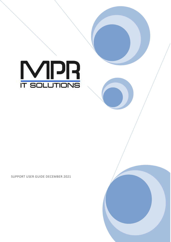

SUPPORT USER GUIDE DECEMBER 2021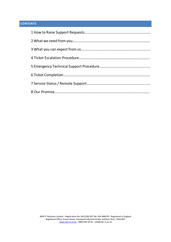# **CONTENTS**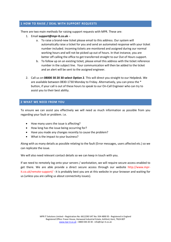## 1 HOW TO RAISE / DEAL WITH SUPPORT REQUESTS

There are two main methods for raising support requests with MPR. These are:

- 1. Email support@mpr-it.co.uk
	- a. To raise a brand-new ticket please email to this address. Our system will automatically raise a ticket for you and send an automated response with your ticket number included. Incoming tickets are monitored and assigned during our normal working hours and will not be picked up out of hours. In that instance, you are better off calling the office to get transferred straight to our Out of Hours support.
	- b. To follow up on an existing ticket, please email this address with the ticket reference number in the subject line. Your communication will then be added to the ticket and an alert will be sent to the assigned engineer.
- 2. Call us on 08000 30 20 30 select Option 2. This will direct you straight to our Helpdesk. We are available between 0830-1730 Monday to Friday. Alternatively, you can press the \* button, if your call is out of these hours to speak to our On-Call Engineer who can try to assist you to their best ability.

#### 2 WHAT WE NEED FROM YOU

To ensure we can assist you effectively we will need as much information as possible from you regarding your fault or problem. i.e.

- How many users the issue is affecting?
- How long has the issue being occurring for?
- Have you made any changes recently to cause the problem?
- What is the impact to your business?

Along with as many details as possible relating to the fault (Error messages, users affected etc.) so we can replicate the issue.

We will also need relevant contact details so we can keep in touch with you.

If we need to remotely log onto your servers / workstation, we will require secure access enabled to get there. We are able provide a direct secure access through our website http://www.mprit.co.uk/remote-support/ - it is probably best you are at this website in your browser and waiting for us (unless you are calling us about connectivity issues).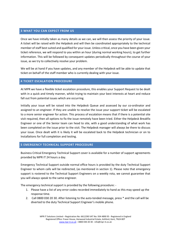#### 3 WHAT YOU CAN EXPECT FROM US

Once we have initially taken as many details as we can, we will then assess the priority of your issue. A ticket will be raised with the Helpdesk and will then be coordinated appropriately to the technical member of staff best suited and qualified for your issue. Unless critical, once you have been given your ticket reference, we will respond to you within an hour (during normal working hours), to get further information. This will be followed by consequent updates periodically throughout the course of your issue, as we try to collectively resolve your problem.

We will be at hand if you have updates, and any member of the Helpdesk will be able to update that ticket on behalf of the staff member who is currently dealing with your issue.

## 4 TICKET ESCALATION PROCEDURE

At MPR we have a flexible ticket escalation procedure, this enables your Support Request to be dealt with in a quick and timely manner, whilst trying to maintain your best interests at heart and reduce fall out from potential issues which are occurring.

Initially your issue will be raised into the Helpdesk Queue and assessed by our co-ordinator and assigned to an engineer. If they are unable to resolve the issue your support ticket will be escalated to a more senior engineer for action. This process of escalation means that if there is a potential site visit required, then all options to fix the issue remotely have been tried. Either the Helpdesk Breakfix Engineer or one of the Senior team can head to site, with a good understanding of what work has been completed on the issue prior to the visit. The Helpdesk manager will always be there to discuss your issue. Once dealt with it is likely it will be escalated back to the Helpdesk technician or on to Installations for full completion and testing.

## 5 EMERGENCY TECHNICAL SUPPORT PROCEDURE

Business Critical Emergency Technical Support cover is available for a number of support agreements provided by MPR IT 24 hours a day.

Emergency Technical Support outside normal office hours is provided by the duty Technical Support Engineer to whom calls will be redirected, (as mentioned in section 1). Please note that emergency support is rostered to the Technical Support Engineers on a weekly rota, we cannot guarantee that you will always speak to the same engineer.

The emergency technical support is provided by the following procedure: -

- 1. Please have a list of any error codes recorded immediately to hand as this may speed up the response time.
- 2. Call 0800 030 20 30. After listening to the auto-tended message, press \* and the call will be diverted to the duty Technical Support Engineer's mobile phone.